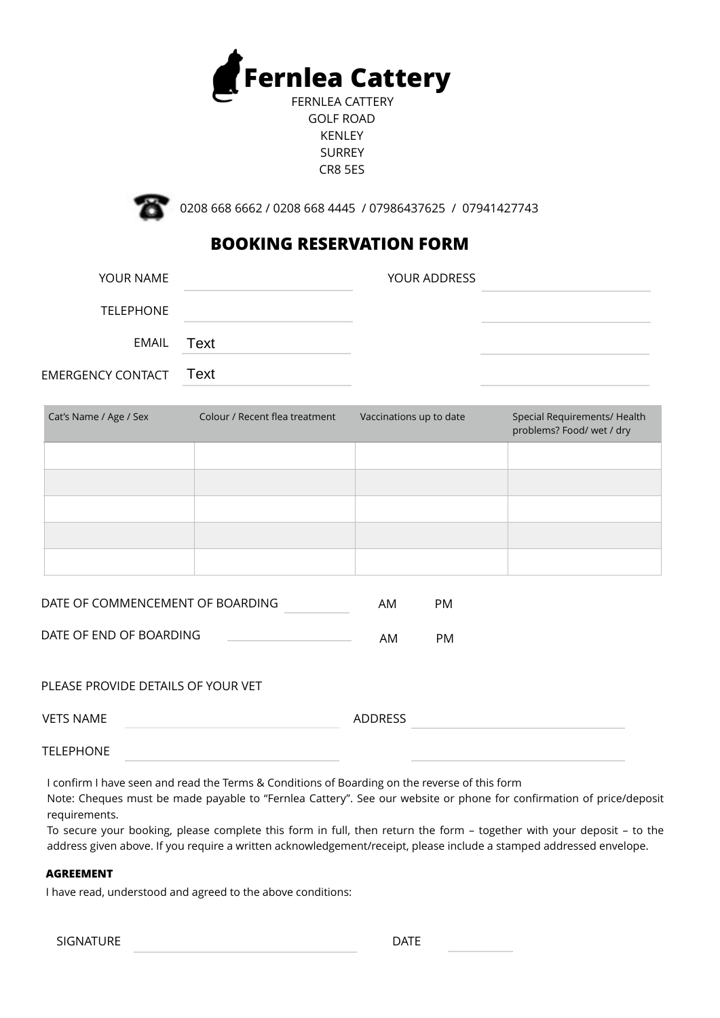

FERNLEA CATTERY GOLF ROAD KENLEY SURREY CR8 5ES



0208 668 6662 / 0208 668 4445 / 07986437625 / 07941427743

# **BOOKING RESERVATION FORM**

| YOUR NAME                     | YOUR ADDRESS |  |
|-------------------------------|--------------|--|
| <b>TELEPHONE</b>              |              |  |
| EMAIL Text                    |              |  |
| <b>EMERGENCY CONTACT Text</b> |              |  |

| Cat's Name / Age / Sex | Colour / Recent flea treatment | Vaccinations up to date | Special Requirements/ Health<br>problems? Food/ wet / dry |
|------------------------|--------------------------------|-------------------------|-----------------------------------------------------------|
|                        |                                |                         |                                                           |
|                        |                                |                         |                                                           |
|                        |                                |                         |                                                           |
|                        |                                |                         |                                                           |
|                        |                                |                         |                                                           |

| DATE OF COMMENCEMENT OF BOARDING | AМ | PM. |
|----------------------------------|----|-----|
| DATE OF END OF BOARDING          |    | PM. |
|                                  | AM |     |

# PLEASE PROVIDE DETAILS OF YOUR VET

| VETS NAME        | ADDRESS |  |
|------------------|---------|--|
| <b>TELEPHONE</b> |         |  |

I confirm I have seen and read the Terms & Conditions of Boarding on the reverse of this form

Note: Cheques must be made payable to "Fernlea Cattery". See our website or phone for confirmation of price/deposit requirements.

To secure your booking, please complete this form in full, then return the form – together with your deposit – to the address given above. If you require a written acknowledgement/receipt, please include a stamped addressed envelope.

## **AGREEMENT**

I have read, understood and agreed to the above conditions:

| SIGNATURE | <b>DATE</b> |
|-----------|-------------|
|-----------|-------------|